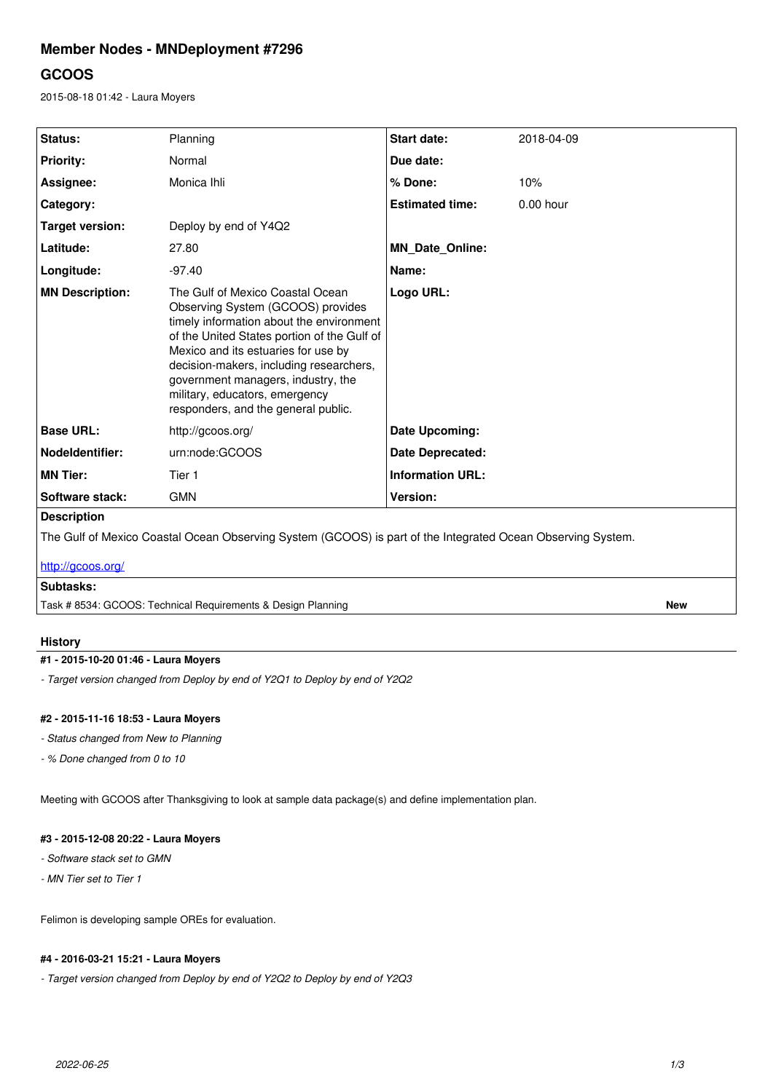# **Member Nodes - MNDeployment #7296**

# **GCOOS**

2015-08-18 01:42 - Laura Moyers

| Status:                                                                                                     | Planning                                                                                                                                                                                                                                                                                                                                                          | <b>Start date:</b>      | 2018-04-09  |
|-------------------------------------------------------------------------------------------------------------|-------------------------------------------------------------------------------------------------------------------------------------------------------------------------------------------------------------------------------------------------------------------------------------------------------------------------------------------------------------------|-------------------------|-------------|
| <b>Priority:</b>                                                                                            | Normal                                                                                                                                                                                                                                                                                                                                                            | Due date:               |             |
| Assignee:                                                                                                   | Monica Ihli                                                                                                                                                                                                                                                                                                                                                       | % Done:                 | 10%         |
| Category:                                                                                                   |                                                                                                                                                                                                                                                                                                                                                                   | <b>Estimated time:</b>  | $0.00$ hour |
| <b>Target version:</b>                                                                                      | Deploy by end of Y4Q2                                                                                                                                                                                                                                                                                                                                             |                         |             |
| Latitude:                                                                                                   | 27.80                                                                                                                                                                                                                                                                                                                                                             | <b>MN Date Online:</b>  |             |
| Longitude:                                                                                                  | $-97.40$                                                                                                                                                                                                                                                                                                                                                          | Name:                   |             |
| <b>MN Description:</b>                                                                                      | The Gulf of Mexico Coastal Ocean<br>Observing System (GCOOS) provides<br>timely information about the environment<br>of the United States portion of the Gulf of<br>Mexico and its estuaries for use by<br>decision-makers, including researchers,<br>government managers, industry, the<br>military, educators, emergency<br>responders, and the general public. | Logo URL:               |             |
| <b>Base URL:</b>                                                                                            | http://gcoos.org/                                                                                                                                                                                                                                                                                                                                                 | Date Upcoming:          |             |
| <b>Nodeldentifier:</b>                                                                                      | urn:node:GCOOS                                                                                                                                                                                                                                                                                                                                                    | <b>Date Deprecated:</b> |             |
| <b>MN Tier:</b>                                                                                             | Tier 1                                                                                                                                                                                                                                                                                                                                                            | <b>Information URL:</b> |             |
| Software stack:                                                                                             | <b>GMN</b>                                                                                                                                                                                                                                                                                                                                                        | Version:                |             |
| <b>Description</b>                                                                                          |                                                                                                                                                                                                                                                                                                                                                                   |                         |             |
| The Gulf of Mexico Coastal Ocean Observing System (GCOOS) is part of the Integrated Ocean Observing System. |                                                                                                                                                                                                                                                                                                                                                                   |                         |             |
| http://gcoos.org/                                                                                           |                                                                                                                                                                                                                                                                                                                                                                   |                         |             |
| Subtasks:                                                                                                   |                                                                                                                                                                                                                                                                                                                                                                   |                         |             |

Task # 8534: GCOOS: Technical Requirements & Design Planning **New**

## **History**

## **#1 - 2015-10-20 01:46 - Laura Moyers**

*- Target version changed from Deploy by end of Y2Q1 to Deploy by end of Y2Q2*

## **#2 - 2015-11-16 18:53 - Laura Moyers**

- *Status changed from New to Planning*
- *% Done changed from 0 to 10*

Meeting with GCOOS after Thanksgiving to look at sample data package(s) and define implementation plan.

## **#3 - 2015-12-08 20:22 - Laura Moyers**

- *Software stack set to GMN*
- *MN Tier set to Tier 1*

Felimon is developing sample OREs for evaluation.

## **#4 - 2016-03-21 15:21 - Laura Moyers**

*- Target version changed from Deploy by end of Y2Q2 to Deploy by end of Y2Q3*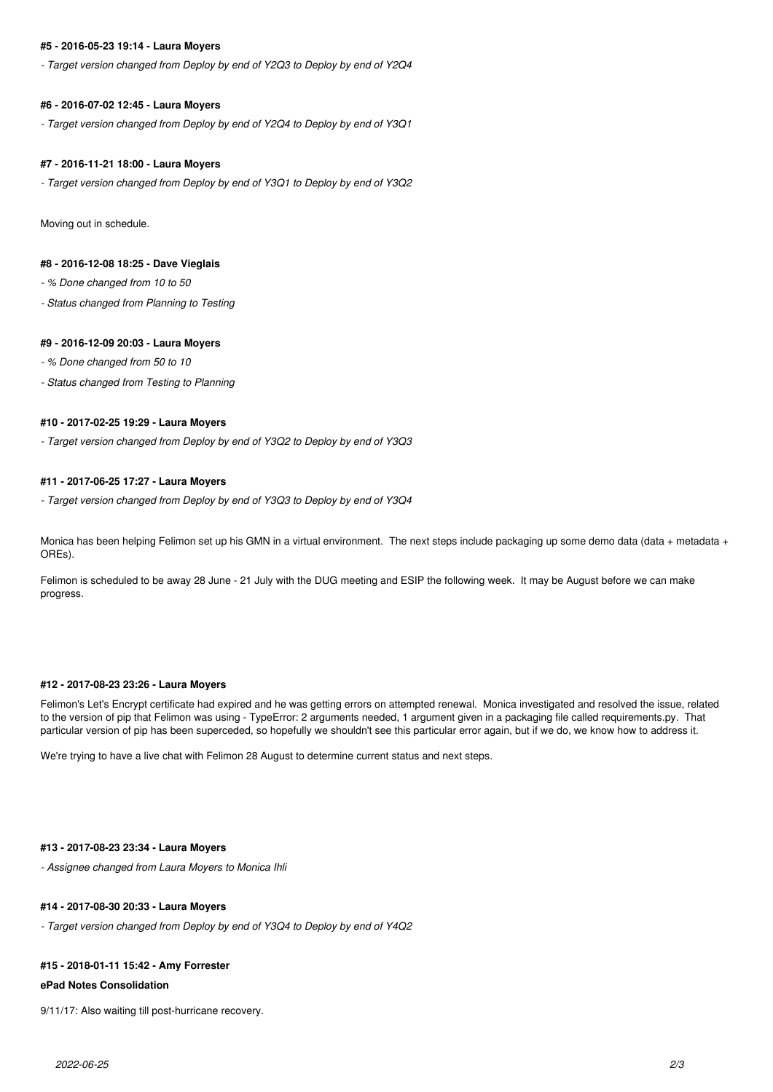## **#5 - 2016-05-23 19:14 - Laura Moyers**

*- Target version changed from Deploy by end of Y2Q3 to Deploy by end of Y2Q4*

#### **#6 - 2016-07-02 12:45 - Laura Moyers**

*- Target version changed from Deploy by end of Y2Q4 to Deploy by end of Y3Q1*

#### **#7 - 2016-11-21 18:00 - Laura Moyers**

*- Target version changed from Deploy by end of Y3Q1 to Deploy by end of Y3Q2*

Moving out in schedule.

## **#8 - 2016-12-08 18:25 - Dave Vieglais**

*- % Done changed from 10 to 50*

*- Status changed from Planning to Testing*

#### **#9 - 2016-12-09 20:03 - Laura Moyers**

*- % Done changed from 50 to 10*

*- Status changed from Testing to Planning*

## **#10 - 2017-02-25 19:29 - Laura Moyers**

*- Target version changed from Deploy by end of Y3Q2 to Deploy by end of Y3Q3*

#### **#11 - 2017-06-25 17:27 - Laura Moyers**

*- Target version changed from Deploy by end of Y3Q3 to Deploy by end of Y3Q4*

Monica has been helping Felimon set up his GMN in a virtual environment. The next steps include packaging up some demo data (data + metadata + OREs).

Felimon is scheduled to be away 28 June - 21 July with the DUG meeting and ESIP the following week. It may be August before we can make progress.

#### **#12 - 2017-08-23 23:26 - Laura Moyers**

Felimon's Let's Encrypt certificate had expired and he was getting errors on attempted renewal. Monica investigated and resolved the issue, related to the version of pip that Felimon was using - TypeError: 2 arguments needed, 1 argument given in a packaging file called requirements.py. That particular version of pip has been superceded, so hopefully we shouldn't see this particular error again, but if we do, we know how to address it.

We're trying to have a live chat with Felimon 28 August to determine current status and next steps.

#### **#13 - 2017-08-23 23:34 - Laura Moyers**

*- Assignee changed from Laura Moyers to Monica Ihli*

## **#14 - 2017-08-30 20:33 - Laura Moyers**

*- Target version changed from Deploy by end of Y3Q4 to Deploy by end of Y4Q2*

#### **#15 - 2018-01-11 15:42 - Amy Forrester**

#### **ePad Notes Consolidation**

9/11/17: Also waiting till post-hurricane recovery.